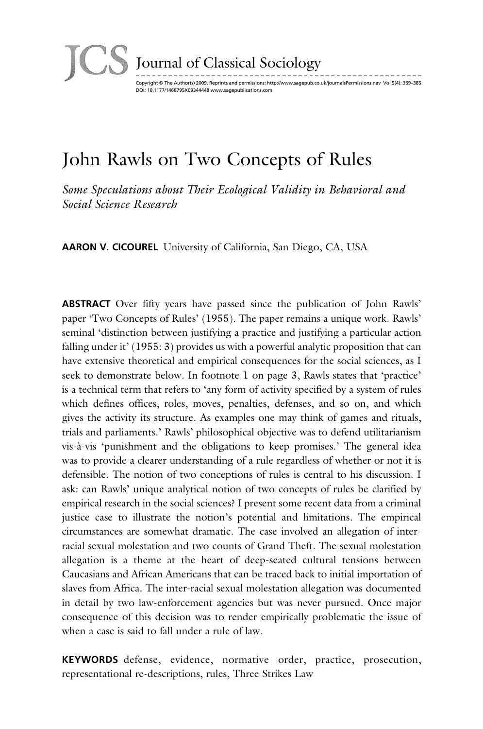

### Journal of Classical Sociology

Copyright © The Author(s) 2009. Reprints and permissions: http://www.sagepub.co.uk/journalsPermissions.nav Vol 9(4): 369–385 DOI: 10.1177/1468795X09344448 www.sagepublications.com

# John Rawls on Two Concepts of Rules

*Some Speculations about Their Ecological Validity in Behavioral and Social Science Research*

**AARON V. CICOUREL** University of California, San Diego, CA, USA

**ABSTRACT** Over fifty years have passed since the publication of John Rawls' paper 'Two Concepts of Rules' (1955). The paper remains a unique work. Rawls' seminal 'distinction between justifying a practice and justifying a particular action falling under it' (1955: 3) provides us with a powerful analytic proposition that can have extensive theoretical and empirical consequences for the social sciences, as I seek to demonstrate below. In footnote 1 on page 3, Rawls states that 'practice' is a technical term that refers to 'any form of activity specified by a system of rules which defines offices, roles, moves, penalties, defenses, and so on, and which gives the activity its structure. As examples one may think of games and rituals, trials and parliaments.' Rawls' philosophical objective was to defend utilitarianism vis-à-vis 'punishment and the obligations to keep promises.' The general idea was to provide a clearer understanding of a rule regardless of whether or not it is defensible. The notion of two conceptions of rules is central to his discussion. I ask: can Rawls' unique analytical notion of two concepts of rules be clarified by empirical research in the social sciences? I present some recent data from a criminal justice case to illustrate the notion's potential and limitations. The empirical circum stances are somewhat dramatic. The case involved an allegation of interracial sexual molestation and two counts of Grand Theft. The sexual molestation allegation is a theme at the heart of deep-seated cultural tensions between Caucasians and African Americans that can be traced back to initial importation of slaves from Africa. The inter-racial sexual molestation allegation was documented in detail by two law-enforcement agencies but was never pursued. Once major consequence of this decision was to render empirically problematic the issue of when a case is said to fall under a rule of law.

**KEYWORDS** defense, evidence, normative order, practice, prosecution, representational re-descriptions, rules, Three Strikes Law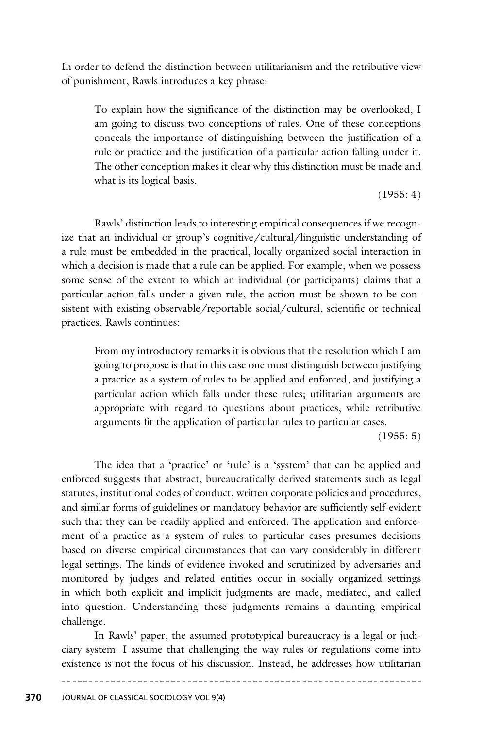In order to defend the distinction between utilitarianism and the retributive view of punishment, Rawls introduces a key phrase:

To explain how the significance of the distinction may be overlooked, I am going to discuss two conceptions of rules. One of these conceptions conceals the importance of distinguishing between the justification of a rule or practice and the justification of a particular action falling under it. The other conception makes it clear why this distinction must be made and what is its logical basis.

 $(1955: 4)$ 

Rawls' distinction leads to interesting empirical consequences if we recognize that an individual or group's cognitive/cultural/linguistic understanding of a rule must be embedded in the practical, locally organized social interaction in which a decision is made that a rule can be applied. For example, when we possess some sense of the extent to which an individual (or participants) claims that a particular action falls under a given rule, the action must be shown to be consistent with existing observable/reportable social/cultural, scientific or technical practices. Rawls continues:

From my introductory remarks it is obvious that the resolution which I am going to propose is that in this case one must distinguish between justifying a practice as a system of rules to be applied and enforced, and justifying a particular action which falls under these rules; utilitarian arguments are appropriate with regard to questions about practices, while retributive arguments fit the application of particular rules to particular cases.

 $(1955: 5)$ 

The idea that a 'practice' or 'rule' is a 'system' that can be applied and enforced suggests that abstract, bureaucratically derived statements such as legal statutes, institutional codes of conduct, written corporate policies and procedures, and similar forms of guidelines or mandatory behavior are sufficiently self-evident such that they can be readily applied and enforced. The application and enforcement of a practice as a system of rules to particular cases presumes decisions based on diverse empirical circumstances that can vary considerably in different legal settings. The kinds of evidence invoked and scrutinized by adversaries and monitored by judges and related entities occur in socially organized settings in which both explicit and implicit judgments are made, mediated, and called into question. Understanding these judgments remains a daunting empirical challenge.

In Rawls' paper, the assumed prototypical bureaucracy is a legal or judiciary system. I assume that challenging the way rules or regulations come into existence is not the focus of his discussion. Instead, he addresses how utilitarian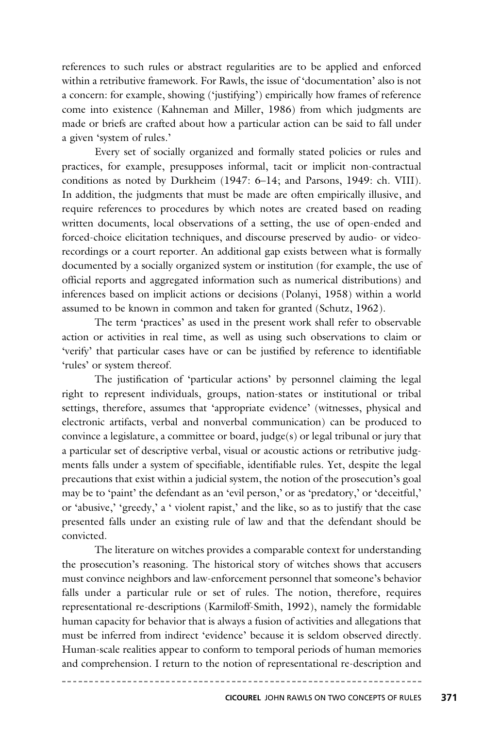references to such rules or abstract regularities are to be applied and enforced within a retributive framework. For Rawls, the issue of 'documentation' also is not a concern: for example, showing ('justifying') empirically how frames of reference come into existence (Kahneman and Miller, 1986) from which judgments are made or briefs are crafted about how a particular action can be said to fall under a given 'system of rules.'

Every set of socially organized and formally stated policies or rules and practices, for example, presupposes informal, tacit or implicit non-contractual conditions as noted by Durkheim (1947: 6–14; and Parsons, 1949: ch. VIII). In addition, the judgments that must be made are often empirically illusive, and require references to procedures by which notes are created based on reading written documents, local observations of a setting, the use of open-ended and forced-choice elicitation techniques, and discourse preserved by audio- or videorecordings or a court reporter. An additional gap exists between what is formally documented by a socially organized system or institution (for example, the use of official reports and aggregated information such as numerical distributions) and inferences based on implicit actions or decisions (Polanyi, 1958) within a world assumed to be known in common and taken for granted (Schutz, 1962).

The term 'practices' as used in the present work shall refer to observable action or activities in real time, as well as using such observations to claim or 'verify' that particular cases have or can be justified by reference to identifiable 'rules' or system thereof.

The justification of 'particular actions' by personnel claiming the legal right to represent individuals, groups, nation-states or institutional or tribal settings, therefore, assumes that 'appropriate evidence' (witnesses, physical and electronic artifacts, verbal and nonverbal communication) can be produced to convince a legislature, a committee or board, judge(s) or legal tribunal or jury that a particular set of descriptive verbal, visual or acoustic actions or retributive judgments falls under a system of specifiable, identifiable rules. Yet, despite the legal precautions that exist within a judicial system, the notion of the prosecution's goal may be to 'paint' the defendant as an 'evil person,' or as 'predatory,' or 'deceitful,' or 'abusive,' 'greedy,' a ' violent rapist,' and the like, so as to justify that the case pre sented falls under an existing rule of law and that the defendant should be convicted.

The literature on witches provides a comparable context for understanding the prosecution's reasoning. The historical story of witches shows that accusers must convince neighbors and law-enforcement personnel that someone's behavior falls under a particular rule or set of rules. The notion, therefore, requires representational re-descriptions (Karmiloff-Smith, 1992), namely the formidable human capacity for behavior that is always a fusion of activities and allegations that must be inferred from indirect 'evidence' because it is seldom observed directly. Human-scale realities appear to conform to temporal periods of human memories and comprehension. I return to the notion of representational re-description and

. . . . . . . . . . . . .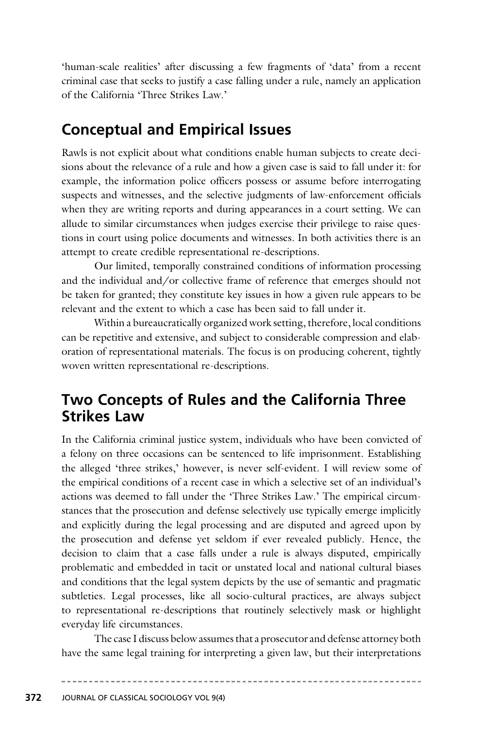'human-scale realities' after discussing a few fragments of 'data' from a recent criminal case that seeks to justify a case falling under a rule, namely an application of the California 'Three Strikes Law.'

# **Conceptual and Empirical Issues**

Rawls is not explicit about what conditions enable human subjects to create decisions about the relevance of a rule and how a given case is said to fall under it: for example, the information police officers possess or assume before interrogating suspects and witnesses, and the selective judgments of law-enforcement officials when they are writing reports and during appearances in a court setting. We can allude to similar circumstances when judges exercise their privilege to raise questions in court using police documents and witnesses. In both activities there is an attempt to create credible representational re-descriptions.

Our limited, temporally constrained conditions of information processing and the individual and/or collective frame of reference that emerges should not be taken for granted; they constitute key issues in how a given rule appears to be relevant and the extent to which a case has been said to fall under it.

Within a bureaucratically organized work setting, therefore, local conditions can be repetitive and extensive, and subject to considerable compression and elaboration of representational materials. The focus is on producing coherent, tightly woven written representational re-descriptions.

# **Two Concepts of Rules and the California Three Strikes Law**

In the California criminal justice system, individuals who have been convicted of a felony on three occasions can be sentenced to life imprisonment. Establishing the alleged 'three strikes,' however, is never self-evident. I will review some of the empirical conditions of a recent case in which a selective set of an individual's actions was deemed to fall under the 'Three Strikes Law.' The empirical circumstances that the prosecution and defense selectively use typically emerge implicitly and explicitly during the legal processing and are disputed and agreed upon by the prosecution and defense yet seldom if ever revealed publicly. Hence, the decision to claim that a case falls under a rule is always disputed, empirically proble matic and embedded in tacit or unstated local and national cultural biases and conditions that the legal system depicts by the use of semantic and pragmatic subtleties. Legal processes, like all socio-cultural practices, are always subject to representational re-descriptions that routinely selectively mask or highlight everyday life circumstances.

The case I discuss below assumes that a prosecutor and defense attorney both have the same legal training for interpreting a given law, but their interpretations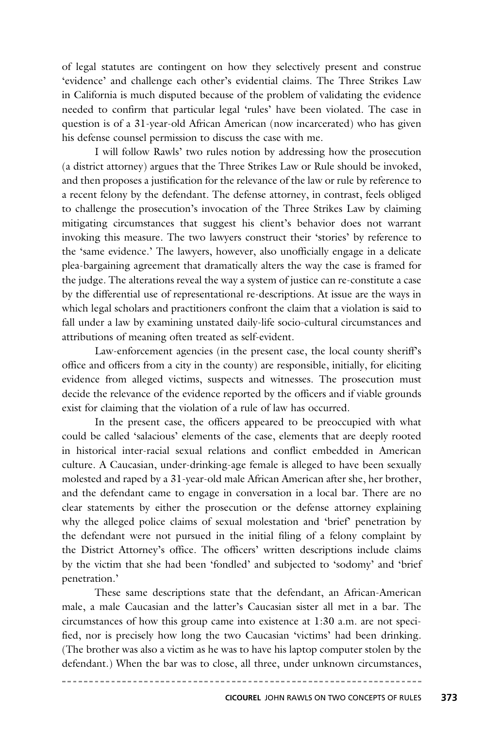of legal statutes are contingent on how they selectively present and construe 'evidence' and challenge each other's evidential claims. The Three Strikes Law in California is much disputed because of the problem of validating the evidence needed to confirm that particular legal 'rules' have been violated. The case in question is of a 31-year-old African American (now incarcerated) who has given his defense counsel permission to discuss the case with me.

I will follow Rawls' two rules notion by addressing how the prosecution (a district attorney) argues that the Three Strikes Law or Rule should be invoked, and then proposes a justification for the relevance of the law or rule by reference to a recent felony by the defendant. The defense attorney, in contrast, feels obliged to challenge the prosecution's invocation of the Three Strikes Law by claiming mitigating circumstances that suggest his client's behavior does not warrant invoking this measure. The two lawyers construct their 'stories' by reference to the 'same evidence.' The lawyers, however, also unofficially engage in a delicate plea-bargaining agreement that dramatically alters the way the case is framed for the judge. The alterations reveal the way a system of justice can re-constitute a case by the differential use of representational re-descriptions. At issue are the ways in which legal scholars and practitioners confront the claim that a violation is said to fall under a law by examining unstated daily-life socio-cultural circumstances and attributions of meaning often treated as self-evident.

Law-enforcement agencies (in the present case, the local county sheriff's office and officers from a city in the county) are responsible, initially, for eliciting evidence from alleged victims, suspects and witnesses. The prosecution must decide the relevance of the evidence reported by the officers and if viable grounds exist for claiming that the violation of a rule of law has occurred.

In the present case, the officers appeared to be preoccupied with what could be called 'salacious' elements of the case, elements that are deeply rooted in historical inter-racial sexual relations and conflict embedded in American culture. A Caucasian, under-drinking-age female is alleged to have been sexually molested and raped by a 31-year-old male African American after she, her brother, and the defendant came to engage in conversation in a local bar. There are no clear statements by either the prosecution or the defense attorney explaining why the alleged police claims of sexual molestation and 'brief' penetration by the defendant were not pursued in the initial filing of a felony complaint by the District Attorney's office. The officers' written descriptions include claims by the victim that she had been 'fondled' and subjected to 'sodomy' and 'brief penetration.'

These same descriptions state that the defendant, an African-American male, a male Caucasian and the latter's Caucasian sister all met in a bar. The circum stances of how this group came into existence at 1:30 a.m. are not specified, nor is precisely how long the two Caucasian 'victims' had been drinking. (The brother was also a victim as he was to have his laptop computer stolen by the defendant.) When the bar was to close, all three, under unknown circumstances,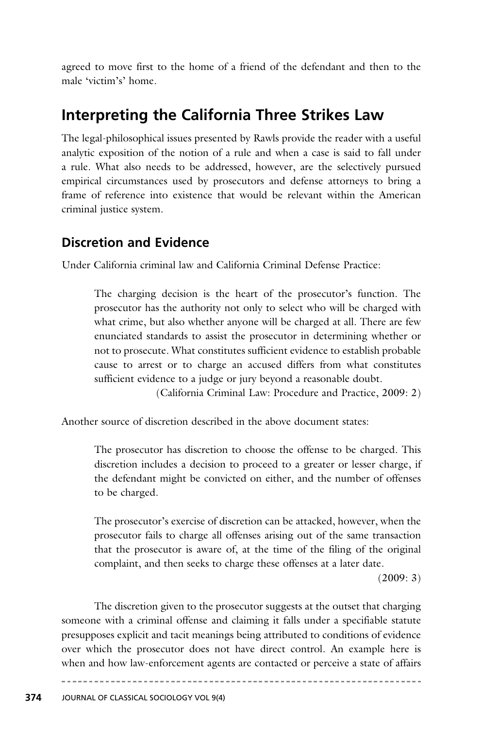agreed to move first to the home of a friend of the defendant and then to the male 'victim's' home.

# **Interpreting the California Three Strikes Law**

The legal-philosophical issues presented by Rawls provide the reader with a useful analytic exposition of the notion of a rule and when a case is said to fall under a rule. What also needs to be addressed, however, are the selectively pursued empirical circumstances used by prosecutors and defense attorneys to bring a frame of reference into existence that would be relevant within the American criminal justice system.

### **Discretion and Evidence**

Under California criminal law and California Criminal Defense Practice:

The charging decision is the heart of the prosecutor's function. The prosecutor has the authority not only to select who will be charged with what crime, but also whether anyone will be charged at all. There are few enunciated standards to assist the prosecutor in determining whether or not to prosecute. What constitutes sufficient evidence to establish probable cause to arrest or to charge an accused differs from what constitutes sufficient evidence to a judge or jury beyond a reasonable doubt.

(California Criminal Law: Procedure and Practice, 2009: 2)

Another source of discretion described in the above document states:

The prosecutor has discretion to choose the offense to be charged. This discretion includes a decision to proceed to a greater or lesser charge, if the defendant might be convicted on either, and the number of offenses to be charged.

The prosecutor's exercise of discretion can be attacked, however, when the prosecutor fails to charge all offenses arising out of the same transaction that the prosecutor is aware of, at the time of the filing of the original complaint, and then seeks to charge these offenses at a later date.

(2009: 3)

The discretion given to the prosecutor suggests at the outset that charging someone with a criminal offense and claiming it falls under a specifiable statute presupposes explicit and tacit meanings being attributed to conditions of evidence over which the prosecutor does not have direct control. An example here is when and how law-enforcement agents are contacted or perceive a state of affairs

\_\_\_\_\_\_\_\_\_\_\_\_\_\_\_\_\_\_\_\_\_\_\_\_\_\_\_\_\_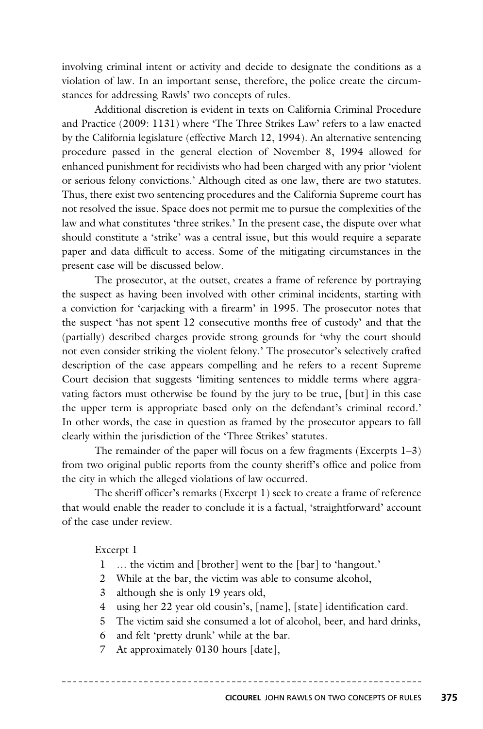involving criminal intent or activity and decide to designate the conditions as a violation of law. In an important sense, therefore, the police create the circumstances for addressing Rawls' two concepts of rules.

Additional discretion is evident in texts on California Criminal Procedure and Practice (2009: 1131) where 'The Three Strikes Law' refers to a law enacted by the California legislature (effective March 12, 1994). An alternative sentencing procedure passed in the general election of November 8, 1994 allowed for enhanced punishment for recidivists who had been charged with any prior 'violent or serious felony convictions.' Although cited as one law, there are two statutes. Thus, there exist two sentencing procedures and the California Supreme court has not resolved the issue. Space does not permit me to pursue the complexities of the law and what constitutes 'three strikes.' In the present case, the dispute over what should constitute a 'strike' was a central issue, but this would require a separate paper and data difficult to access. Some of the mitigating circumstances in the present case will be discussed below.

The prosecutor, at the outset, creates a frame of reference by portraying the suspect as having been involved with other criminal incidents, starting with a conviction for 'carjacking with a firearm' in 1995. The prosecutor notes that the suspect 'has not spent 12 consecutive months free of custody' and that the (partially) described charges provide strong grounds for 'why the court should not even consider striking the violent felony.' The prosecutor's selectively crafted description of the case appears compelling and he refers to a recent Supreme Court decision that suggests 'limiting sentences to middle terms where aggravating factors must otherwise be found by the jury to be true, [but] in this case the upper term is appropriate based only on the defendant's criminal record.' In other words, the case in question as framed by the prosecutor appears to fall clearly within the jurisdiction of the 'Three Strikes' statutes.

The remainder of the paper will focus on a few fragments (Excerpts 1–3) from two original public reports from the county sheriff's office and police from the city in which the alleged violations of law occurred.

The sheriff officer's remarks (Excerpt 1) seek to create a frame of reference that would enable the reader to conclude it is a factual, 'straightforward' account of the case under review.

Excerpt 1

- 1 … the victim and [brother] went to the [bar] to 'hangout.'
- 2 While at the bar, the victim was able to consume alcohol,
- 3 although she is only 19 years old,
- 4 using her 22 year old cousin's, [name], [state] identification card.
- 5 The victim said she consumed a lot of alcohol, beer, and hard drinks,
- 6 and felt 'pretty drunk' while at the bar.
- 7 At approximately 0130 hours [date],

**CICOUREL** JOHN RAWLS ON TWO CONCEPTS OF RULES **375**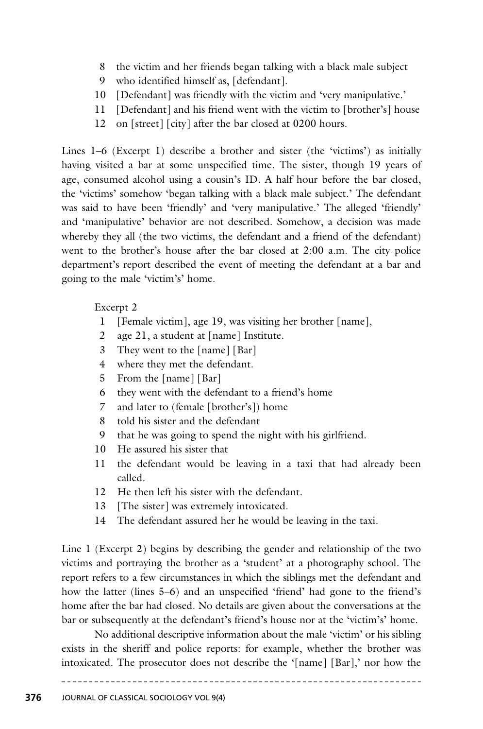- 8 the victim and her friends began talking with a black male subject
- 9 who identified himself as, [defendant].
- 10 [Defendant] was friendly with the victim and 'very manipulative.'
- 11 [Defendant] and his friend went with the victim to [brother's] house
- 12 on [street] [city] after the bar closed at 0200 hours.

Lines 1–6 (Excerpt 1) describe a brother and sister (the 'victims') as initially having visited a bar at some unspecified time. The sister, though 19 years of age, consumed alcohol using a cousin's ID. A half hour before the bar closed, the 'victims' somehow 'began talking with a black male subject.' The defendant was said to have been 'friendly' and 'very manipulative.' The alleged 'friendly' and 'manipulative' behavior are not described. Somehow, a decision was made whereby they all (the two victims, the defendant and a friend of the defendant) went to the brother's house after the bar closed at 2:00 a.m. The city police department's report described the event of meeting the defendant at a bar and going to the male 'victim's' home.

#### Excerpt 2

- 1 [Female victim], age 19, was visiting her brother [name],
- 2 age 21, a student at [name] Institute.
- 3 They went to the [name] [Bar]
- 4 where they met the defendant.
- 5 From the [name] [Bar]
- 6 they went with the defendant to a friend's home
- 7 and later to (female [brother's]) home
- 8 told his sister and the defendant
- 9 that he was going to spend the night with his girlfriend.
- 10 He assured his sister that
- 11 the defendant would be leaving in a taxi that had already been called.
- 12 He then left his sister with the defendant.
- 13 [The sister] was extremely intoxicated.
- 14 The defendant assured her he would be leaving in the taxi.

Line 1 (Excerpt 2) begins by describing the gender and relationship of the two victims and portraying the brother as a 'student' at a photography school. The report refers to a few circumstances in which the siblings met the defendant and how the latter (lines 5–6) and an unspecified 'friend' had gone to the friend's home after the bar had closed. No details are given about the conversations at the bar or subsequently at the defendant's friend's house nor at the 'victim's' home.

No additional descriptive information about the male 'victim' or his sibling exists in the sheriff and police reports: for example, whether the brother was intoxicated. The prosecutor does not describe the '[name] [Bar],' nor how the

------------------------------------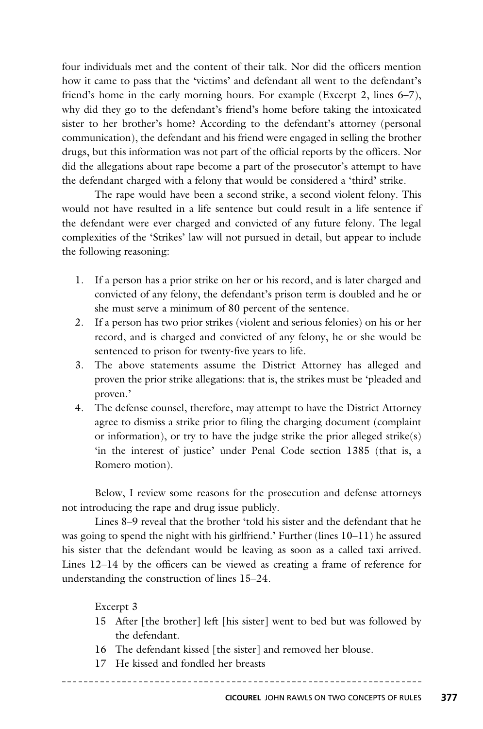four individuals met and the content of their talk. Nor did the officers mention how it came to pass that the 'victims' and defendant all went to the defendant's friend's home in the early morning hours. For example (Excerpt 2, lines 6–7), why did they go to the defendant's friend's home before taking the intoxicated sister to her brother's home? According to the defendant's attorney (personal communication), the defendant and his friend were engaged in selling the brother drugs, but this information was not part of the official reports by the officers. Nor did the allegations about rape become a part of the prosecutor's attempt to have the defendant charged with a felony that would be considered a 'third' strike.

The rape would have been a second strike, a second violent felony. This would not have resulted in a life sentence but could result in a life sentence if the defendant were ever charged and convicted of any future felony. The legal complexities of the 'Strikes' law will not pursued in detail, but appear to include the following reasoning:

- 1. If a person has a prior strike on her or his record, and is later charged and convicted of any felony, the defendant's prison term is doubled and he or she must serve a minimum of 80 percent of the sentence.
- 2. If a person has two prior strikes (violent and serious felonies) on his or her record, and is charged and convicted of any felony, he or she would be sentenced to prison for twenty-five years to life.
- 3. The above statements assume the District Attorney has alleged and proven the prior strike allegations: that is, the strikes must be 'pleaded and proven.'
- 4. The defense counsel, therefore, may attempt to have the District Attorney agree to dismiss a strike prior to filing the charging document (complaint or information), or try to have the judge strike the prior alleged strike(s) 'in the interest of justice' under Penal Code section 1385 (that is, a Romero motion).

Below, I review some reasons for the prosecution and defense attorneys not introducing the rape and drug issue publicly.

Lines 8–9 reveal that the brother 'told his sister and the defendant that he was going to spend the night with his girlfriend.' Further (lines 10–11) he assured his sister that the defendant would be leaving as soon as a called taxi arrived. Lines 12–14 by the officers can be viewed as creating a frame of reference for understanding the construction of lines 15–24.

#### Excerpt 3

- 15 After [the brother] left [his sister] went to bed but was followed by the defendant.
- 16 The defendant kissed [the sister] and removed her blouse.

-------------

17 He kissed and fondled her breasts

**CICOUREL** JOHN RAWLS ON TWO CONCEPTS OF RULES **377**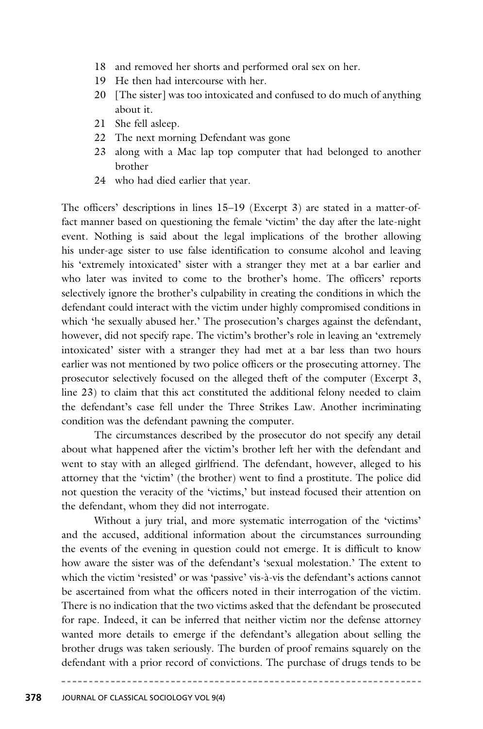- 18 and removed her shorts and performed oral sex on her.
- 19 He then had intercourse with her.
- 20 [The sister] was too intoxicated and confused to do much of anything about it.
- 21 She fell asleep.
- 22 The next morning Defendant was gone
- 23 along with a Mac lap top computer that had belonged to another brother
- 24 who had died earlier that year.

The officers' descriptions in lines 15–19 (Excerpt 3) are stated in a matter-offact manner based on questioning the female 'victim' the day after the late-night event. Nothing is said about the legal implications of the brother allowing his under-age sister to use false identification to consume alcohol and leaving his 'extremely intoxicated' sister with a stranger they met at a bar earlier and who later was invited to come to the brother's home. The officers' reports selectively ignore the brother's culpability in creating the conditions in which the defendant could interact with the victim under highly compromised conditions in which 'he sexually abused her.' The prosecution's charges against the defendant, however, did not specify rape. The victim's brother's role in leaving an 'extremely intoxicated' sister with a stranger they had met at a bar less than two hours earlier was not mentioned by two police officers or the prosecuting attorney. The prose cutor selectively focused on the alleged theft of the computer (Excerpt 3, line 23) to claim that this act constituted the additional felony needed to claim the defendant's case fell under the Three Strikes Law. Another incriminating condition was the defendant pawning the computer.

The circumstances described by the prosecutor do not specify any detail about what happened after the victim's brother left her with the defendant and went to stay with an alleged girlfriend. The defendant, however, alleged to his attorney that the 'victim' (the brother) went to find a prostitute. The police did not question the veracity of the 'victims,' but instead focused their attention on the defendant, whom they did not interrogate.

Without a jury trial, and more systematic interrogation of the 'victims' and the accused, additional information about the circumstances surrounding the events of the evening in question could not emerge. It is difficult to know how aware the sister was of the defendant's 'sexual molestation.' The extent to which the victim 'resisted' or was 'passive' vis-à-vis the defendant's actions cannot be ascertained from what the officers noted in their interrogation of the victim. There is no indication that the two victims asked that the defendant be prosecuted for rape. Indeed, it can be inferred that neither victim nor the defense attorney wanted more details to emerge if the defendant's allegation about selling the brother drugs was taken seriously. The burden of proof remains squarely on the defendant with a prior record of convictions. The purchase of drugs tends to be

<u>ududududu.</u>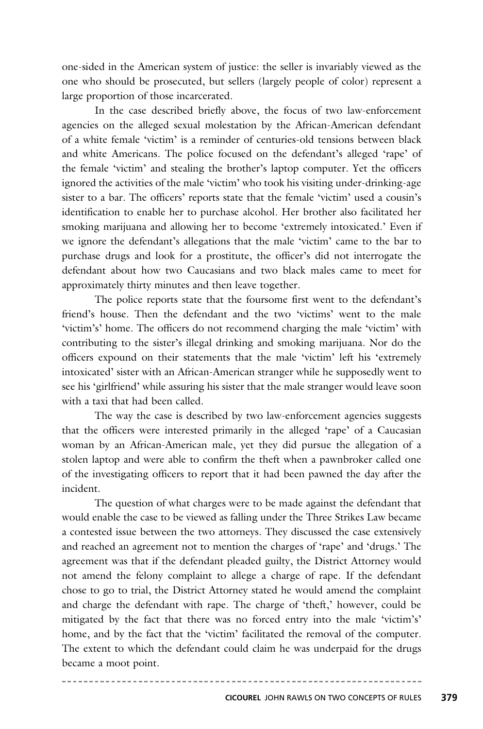one-sided in the American system of justice: the seller is invariably viewed as the one who should be prosecuted, but sellers (largely people of color) represent a large proportion of those incarcerated.

In the case described briefly above, the focus of two law-enforcement agencies on the alleged sexual molestation by the African-American defendant of a white female 'victim' is a reminder of centuries-old tensions between black and white Americans. The police focused on the defendant's alleged 'rape' of the female 'victim' and stealing the brother's laptop computer. Yet the officers ignored the activities of the male 'victim' who took his visiting under-drinking-age sister to a bar. The officers' reports state that the female 'victim' used a cousin's identification to enable her to purchase alcohol. Her brother also facilitated her smoking marijuana and allowing her to become 'extremely intoxicated.' Even if we ignore the defendant's allegations that the male 'victim' came to the bar to purchase drugs and look for a prostitute, the officer's did not interrogate the defendant about how two Caucasians and two black males came to meet for approximately thirty minutes and then leave together.

The police reports state that the foursome first went to the defendant's friend's house. Then the defendant and the two 'victims' went to the male 'victim's' home. The officers do not recommend charging the male 'victim' with contributing to the sister's illegal drinking and smoking marijuana. Nor do the officers expound on their statements that the male 'victim' left his 'extremely intoxicated' sister with an African-American stranger while he supposedly went to see his 'girlfriend' while assuring his sister that the male stranger would leave soon with a taxi that had been called.

The way the case is described by two law-enforcement agencies suggests that the officers were interested primarily in the alleged 'rape' of a Caucasian woman by an African-American male, yet they did pursue the allegation of a stolen laptop and were able to confirm the theft when a pawnbroker called one of the investigating officers to report that it had been pawned the day after the incident.

The question of what charges were to be made against the defendant that would enable the case to be viewed as falling under the Three Strikes Law became a contested issue between the two attorneys. They discussed the case extensively and reached an agreement not to mention the charges of 'rape' and 'drugs.' The agreement was that if the defendant pleaded guilty, the District Attorney would not amend the felony complaint to allege a charge of rape. If the defendant chose to go to trial, the District Attorney stated he would amend the complaint and charge the defendant with rape. The charge of 'theft,' however, could be mitigated by the fact that there was no forced entry into the male 'victim's' home, and by the fact that the 'victim' facilitated the removal of the computer. The extent to which the defendant could claim he was underpaid for the drugs became a moot point.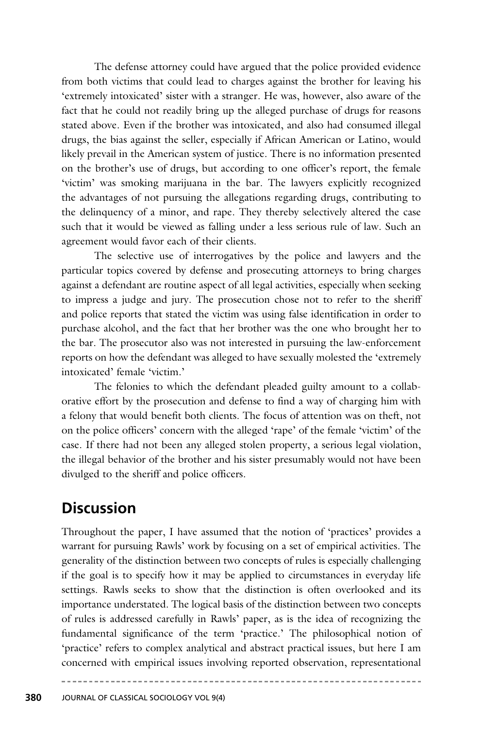The defense attorney could have argued that the police provided evidence from both victims that could lead to charges against the brother for leaving his 'extremely intoxicated' sister with a stranger. He was, however, also aware of the fact that he could not readily bring up the alleged purchase of drugs for reasons stated above. Even if the brother was intoxicated, and also had consumed illegal drugs, the bias against the seller, especially if African American or Latino, would likely prevail in the American system of justice. There is no information presented on the brother's use of drugs, but according to one officer's report, the female 'victim' was smoking marijuana in the bar. The lawyers explicitly recognized the advantages of not pursuing the allegations regarding drugs, contributing to the delinquency of a minor, and rape. They thereby selectively altered the case such that it would be viewed as falling under a less serious rule of law. Such an agreement would favor each of their clients.

The selective use of interrogatives by the police and lawyers and the particular topics covered by defense and prosecuting attorneys to bring charges against a defendant are routine aspect of all legal activities, especially when seeking to impress a judge and jury. The prosecution chose not to refer to the sheriff and police reports that stated the victim was using false identification in order to purchase alcohol, and the fact that her brother was the one who brought her to the bar. The prosecutor also was not interested in pursuing the law-enforcement reports on how the defendant was alleged to have sexually molested the 'extremely intoxicated' female 'victim.'

The felonies to which the defendant pleaded guilty amount to a collaborative effort by the prosecution and defense to find a way of charging him with a felony that would benefit both clients. The focus of attention was on theft, not on the police officers' concern with the alleged 'rape' of the female 'victim' of the case. If there had not been any alleged stolen property, a serious legal violation, the illegal behavior of the brother and his sister presumably would not have been divulged to the sheriff and police officers.

# **Discussion**

Throughout the paper, I have assumed that the notion of 'practices' provides a warrant for pursuing Rawls' work by focusing on a set of empirical activities. The generality of the distinction between two concepts of rules is especially challenging if the goal is to specify how it may be applied to circumstances in everyday life settings. Rawls seeks to show that the distinction is often overlooked and its importance understated. The logical basis of the distinction between two concepts of rules is addressed carefully in Rawls' paper, as is the idea of recognizing the fundamental significance of the term 'practice.' The philosophical notion of 'practice' refers to complex analytical and abstract practical issues, but here I am concerned with empirical issues involving reported observation, representational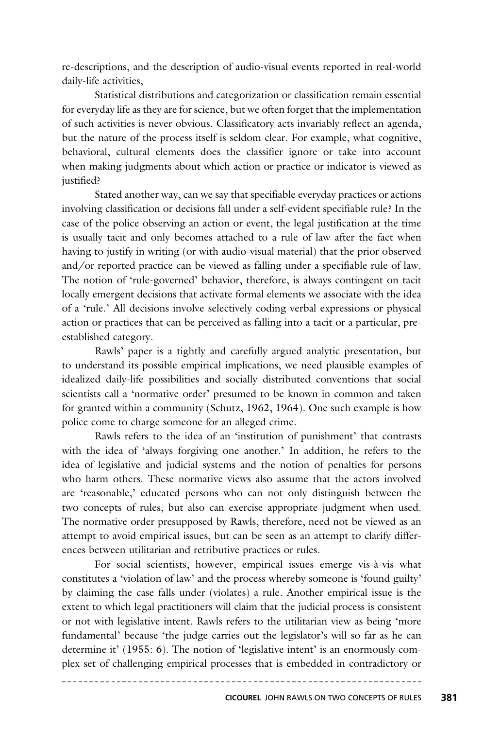re-descriptions, and the description of audio-visual events reported in real-world daily-life activities,

Statistical distributions and categorization or classification remain essential for everyday life as they are for science, but we often forget that the implementation of such activities is never obvious. Classificatory acts invariably reflect an agenda, but the nature of the process itself is seldom clear. For example, what cognitive, behavioral, cultural elements does the classifier ignore or take into account when making judgments about which action or practice or indicator is viewed as justified?

Stated another way, can we say that specifiable everyday practices or actions involving classification or decisions fall under a self-evident specifiable rule? In the case of the police observing an action or event, the legal justification at the time is usually tacit and only becomes attached to a rule of law after the fact when having to justify in writing (or with audio-visual material) that the prior observed and/or reported practice can be viewed as falling under a specifiable rule of law. The notion of 'rule-governed' behavior, therefore, is always contingent on tacit locally emergent decisions that activate formal elements we associate with the idea of a 'rule.' All decisions involve selectively coding verbal expressions or physical action or practices that can be perceived as falling into a tacit or a particular, preestablished category.

Rawls' paper is a tightly and carefully argued analytic presentation, but to understand its possible empirical implications, we need plausible examples of idealized daily-life possibilities and socially distributed conventions that social scientists call a 'normative order' presumed to be known in common and taken for granted within a community (Schutz, 1962, 1964). One such example is how police come to charge someone for an alleged crime.

Rawls refers to the idea of an 'institution of punishment' that contrasts with the idea of 'always forgiving one another.' In addition, he refers to the idea of legislative and judicial systems and the notion of penalties for persons who harm others. These normative views also assume that the actors involved are 'reasonable,' educated persons who can not only distinguish between the two concepts of rules, but also can exercise appropriate judgment when used. The normative order presupposed by Rawls, therefore, need not be viewed as an attempt to avoid empirical issues, but can be seen as an attempt to clarify differences between utilitarian and retributive practices or rules.

For social scientists, however, empirical issues emerge vis-à-vis what constitutes a 'violation of law' and the process whereby someone is 'found guilty' by claiming the case falls under (violates) a rule. Another empirical issue is the extent to which legal practitioners will claim that the judicial process is consistent or not with legislative intent. Rawls refers to the utilitarian view as being 'more fundamental' because 'the judge carries out the legislator's will so far as he can determine it' (1955: 6). The notion of 'legislative intent' is an enormously complex set of challenging empirical processes that is embedded in contradictory or

**CICOUREL** JOHN RAWLS ON TWO CONCEPTS OF RULES **381**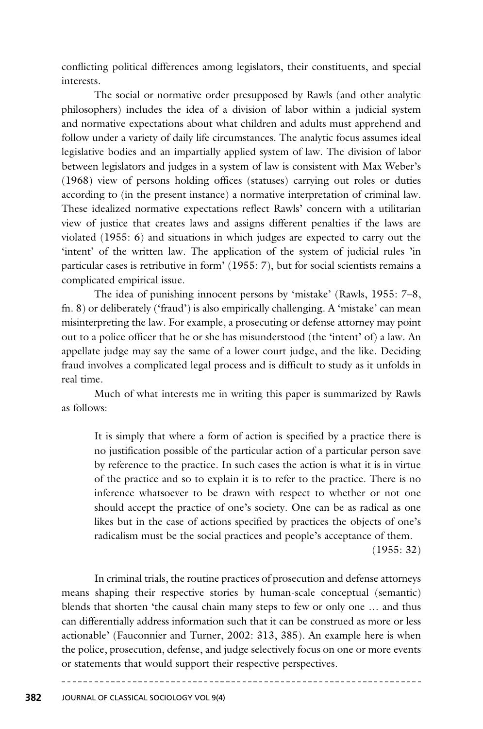conflicting political differences among legislators, their constituents, and special interests.

The social or normative order presupposed by Rawls (and other analytic philosophers) includes the idea of a division of labor within a judicial system and normative expectations about what children and adults must apprehend and follow under a variety of daily life circumstances. The analytic focus assumes ideal legislative bodies and an impartially applied system of law. The division of labor between legislators and judges in a system of law is consistent with Max Weber's (1968) view of persons holding offices (statuses) carrying out roles or duties according to (in the present instance) a normative interpretation of criminal law. These idealized normative expectations reflect Rawls' concern with a utilitarian view of justice that creates laws and assigns different penalties if the laws are violated (1955: 6) and situations in which judges are expected to carry out the 'intent' of the written law. The application of the system of judicial rules 'in particular cases is retributive in form' (1955: 7), but for social scientists remains a complicated empirical issue.

The idea of punishing innocent persons by 'mistake' (Rawls, 1955: 7–8, fn. 8) or deliberately ('fraud') is also empirically challenging. A 'mistake' can mean misinterpreting the law. For example, a prosecuting or defense attorney may point out to a police officer that he or she has misunderstood (the 'intent' of) a law. An appellate judge may say the same of a lower court judge, and the like. Deciding fraud involves a complicated legal process and is difficult to study as it unfolds in real time.

Much of what interests me in writing this paper is summarized by Rawls as follows:

It is simply that where a form of action is specified by a practice there is no justification possible of the particular action of a particular person save by reference to the practice. In such cases the action is what it is in virtue of the practice and so to explain it is to refer to the practice. There is no inference whatsoever to be drawn with respect to whether or not one should accept the practice of one's society. One can be as radical as one likes but in the case of actions specified by practices the objects of one's radicalism must be the social practices and people's acceptance of them. (1955: 32)

In criminal trials, the routine practices of prosecution and defense attorneys means shaping their respective stories by human-scale conceptual (semantic) blends that shorten 'the causal chain many steps to few or only one … and thus can differentially address information such that it can be construed as more or less actionable' (Fauconnier and Turner, 2002: 313, 385). An example here is when the police, prosecution, defense, and judge selectively focus on one or more events or statements that would support their respective perspectives.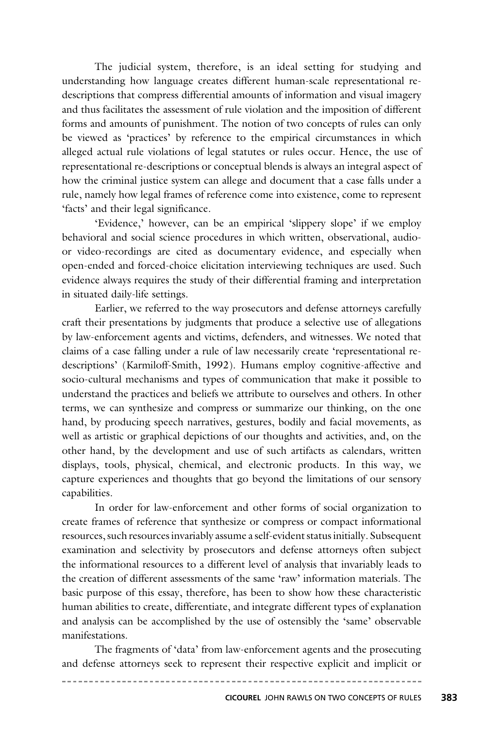The judicial system, therefore, is an ideal setting for studying and understanding how language creates different human-scale representational redescriptions that compress differential amounts of information and visual imagery and thus facilitates the assessment of rule violation and the imposition of different forms and amounts of punishment. The notion of two concepts of rules can only be viewed as 'practices' by reference to the empirical circumstances in which alleged actual rule violations of legal statutes or rules occur. Hence, the use of representational re-descriptions or conceptual blends is always an integral aspect of how the criminal justice system can allege and document that a case falls under a rule, namely how legal frames of reference come into existence, come to represent 'facts' and their legal significance.

'Evidence,' however, can be an empirical 'slippery slope' if we employ behavioral and social science procedures in which written, observational, audioor video-recordings are cited as documentary evidence, and especially when open-ended and forced-choice elicitation interviewing techniques are used. Such evidence always requires the study of their differential framing and interpretation in situated daily-life settings.

Earlier, we referred to the way prosecutors and defense attorneys carefully craft their presentations by judgments that produce a selective use of allegations by law-enforcement agents and victims, defenders, and witnesses. We noted that claims of a case falling under a rule of law necessarily create 'representational redescriptions' (Karmiloff-Smith, 1992). Humans employ cognitive-affective and socio-cultural mechanisms and types of communication that make it possible to understand the practices and beliefs we attribute to ourselves and others. In other terms, we can synthesize and compress or summarize our thinking, on the one hand, by producing speech narratives, gestures, bodily and facial movements, as well as artistic or graphical depictions of our thoughts and activities, and, on the other hand, by the development and use of such artifacts as calendars, written displays, tools, physical, chemical, and electronic products. In this way, we capture experiences and thoughts that go beyond the limitations of our sensory capabilities.

In order for law-enforcement and other forms of social organization to create frames of reference that synthesize or compress or compact informational resources, such resources invariably assume a self-evident status initially. Subsequent examination and selectivity by prosecutors and defense attorneys often subject the informational resources to a different level of analysis that invariably leads to the creation of different assessments of the same 'raw' information materials. The basic purpose of this essay, therefore, has been to show how these characteristic human abilities to create, differentiate, and integrate different types of explanation and analysis can be accomplished by the use of ostensibly the 'same' observable manifestations.

The fragments of 'data' from law-enforcement agents and the prosecuting and defense attorneys seek to represent their respective explicit and implicit or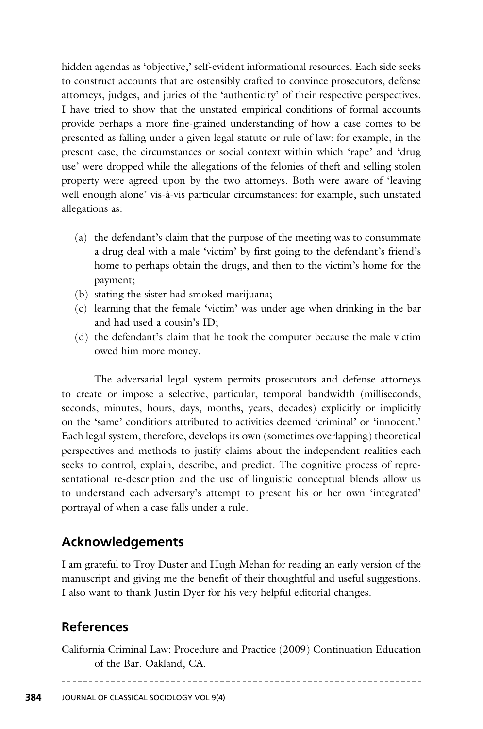hidden agendas as 'objective,' self-evident informational resources. Each side seeks to construct accounts that are ostensibly crafted to convince prosecutors, defense attorneys, judges, and juries of the 'authenticity' of their respective perspectives. I have tried to show that the unstated empirical conditions of formal accounts provide perhaps a more fine-grained understanding of how a case comes to be pre sented as falling under a given legal statute or rule of law: for example, in the present case, the circumstances or social context within which 'rape' and 'drug use' were dropped while the allegations of the felonies of theft and selling stolen property were agreed upon by the two attorneys. Both were aware of 'leaving well enough alone' vis-à-vis particular circumstances: for example, such unstated allegations as:

- (a) the defendant's claim that the purpose of the meeting was to consummate a drug deal with a male 'victim' by first going to the defendant's friend's home to perhaps obtain the drugs, and then to the victim's home for the payment;
- (b) stating the sister had smoked marijuana;
- (c) learning that the female 'victim' was under age when drinking in the bar and had used a cousin's ID;
- (d) the defendant's claim that he took the computer because the male victim owed him more money.

The adversarial legal system permits prosecutors and defense attorneys to create or impose a selective, particular, temporal bandwidth (milliseconds, seconds, minutes, hours, days, months, years, decades) explicitly or implicitly on the 'same' conditions attributed to activities deemed 'criminal' or 'innocent.' Each legal system, therefore, develops its own (sometimes overlapping) theoretical perspectives and methods to justify claims about the independent realities each seeks to control, explain, describe, and predict. The cognitive process of representational re-description and the use of linguistic conceptual blends allow us to understand each adversary's attempt to present his or her own 'integrated' portrayal of when a case falls under a rule.

### **Acknowledgements**

I am grateful to Troy Duster and Hugh Mehan for reading an early version of the manuscript and giving me the benefit of their thoughtful and useful suggestions. I also want to thank Justin Dyer for his very helpful editorial changes.

### **References**

California Criminal Law: Procedure and Practice (2009) Continuation Education of the Bar. Oakland, CA.